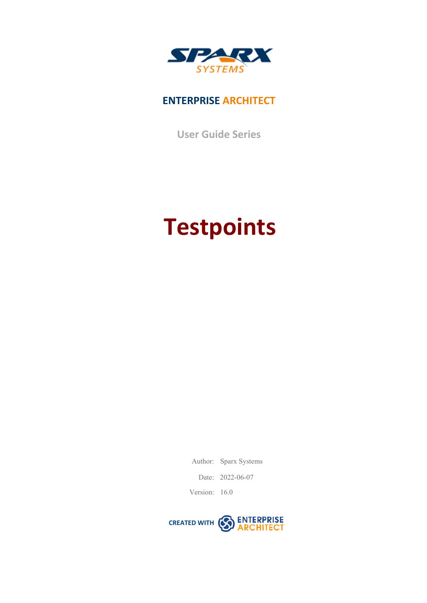

### **ENTERPRISE ARCHITECT**

**User Guide Series**

# **Testpoints**

Author: Sparx Systems Date: 2022-06-07

Version: 16.0

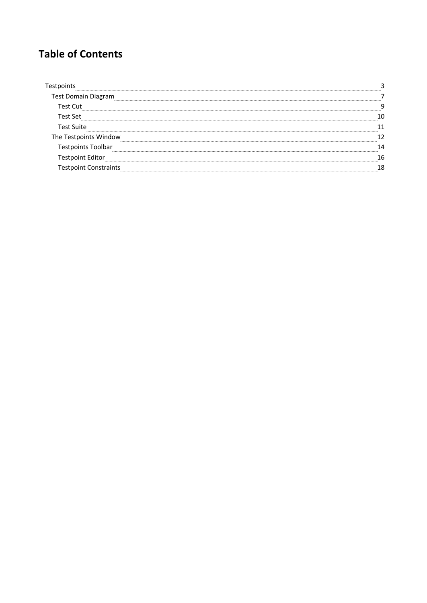### **Table of Contents**

| Test Domain Diagram |  |
|---------------------|--|
| Test Cut            |  |
| Test Set            |  |
| Test Suite          |  |
| Testpoints Window   |  |
| :s Toolbar          |  |
|                     |  |
|                     |  |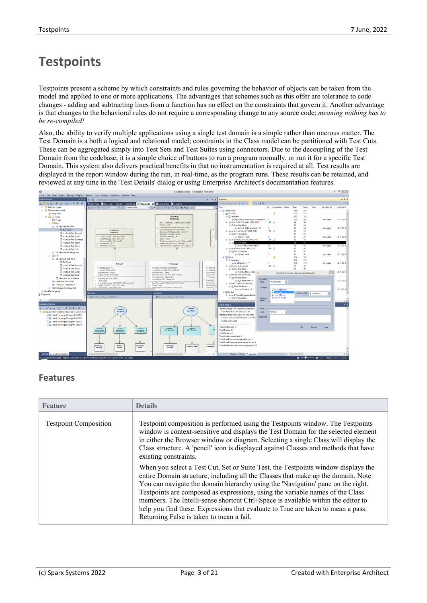# **Testpoints**

Testpoints present a scheme by which constraints and rules governing the behavior of objects can be taken from the model and applied to one or more applications. The advantages that schemes such as this offer are tolerance to code changes - adding and subtracting lines from a function has no effect on the constraints that govern it. Another advantage is that changes to the behavioral rules do not require a corresponding change to any source code; *meaning nothing has to be re-compiled!*

Also, the ability to verify multiple applications using a single test domain is a simple rather than onerous matter. The Test Domain is a both a logical and relational model; constraints in the Class model can be partitioned with Test Cuts. These can be aggregated simply into Test Sets and Test Suites using connectors. Due to the decoupling of the Test Domain from the codebase, it is a simple choice of buttons to run a program normally, or run it for a specific Test Domain. This system also delivers practical benefits in that no instrumentation is required at all. Test results are displayed in the report window during the run, in real-time, as the program runs. These results can be retained, and reviewed at any time in the 'Test Details' dialog or using Enterprise Architect's documentation features.



#### **Features**

| <b>Feature</b>               | <b>Details</b>                                                                                                                                                                                                                                                                                                                                                                                                                                                                                                                                                  |
|------------------------------|-----------------------------------------------------------------------------------------------------------------------------------------------------------------------------------------------------------------------------------------------------------------------------------------------------------------------------------------------------------------------------------------------------------------------------------------------------------------------------------------------------------------------------------------------------------------|
| <b>Testpoint Composition</b> | Testpoint composition is performed using the Testpoints window. The Testpoints<br>window is context-sensitive and displays the Test Domain for the selected element<br>in either the Browser window or diagram. Selecting a single Class will display the<br>Class structure. A 'pencil' icon is displayed against Classes and methods that have<br>existing constraints.                                                                                                                                                                                       |
|                              | When you select a Test Cut, Set or Suite Test, the Test points window displays the<br>entire Domain structure, including all the Classes that make up the domain. Note:<br>You can navigate the domain hierarchy using the 'Navigation' pane on the right.<br>Testpoints are composed as expressions, using the variable names of the Class<br>members. The Intelli-sense shortcut Ctrl+Space is available within the editor to<br>help you find these. Expressions that evaluate to True are taken to mean a pass.<br>Returning False is taken to mean a fail. |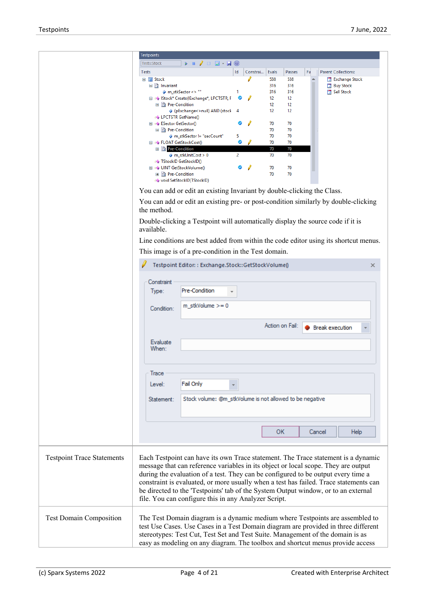|                                   | <b>Testpoints</b><br>$\triangleright$ = $\mathcal{J}$ $\Box$ $\blacksquare$ $\triangleright$ $\blacksquare$<br>Tests:Stock |
|-----------------------------------|----------------------------------------------------------------------------------------------------------------------------|
|                                   |                                                                                                                            |
|                                   | Id<br>Constrai Evals<br>Passes<br><b>Parent Collections:</b><br>Tests<br>Fa                                                |
|                                   | 538<br>□ 国 Stock<br>538<br>Exchange Stock                                                                                  |
|                                   | □ B Invariant<br>316<br>316<br><b>Buy Stock</b><br>m_stkSector <> ""<br>316<br>316<br>Sell Stock<br>1                      |
|                                   | <b>E</b> = Stock* Create(IExchange*, LPCTSTR, F<br>y<br>12<br>12 <sup>2</sup>                                              |
|                                   | 12<br>12 <sup>2</sup><br>□ ■ ■ Pre-Condition                                                                               |
|                                   | 12<br>12<br>p (pExchange<>null) AND (stock 4                                                                               |
|                                   | <b>EO</b> LPCTSTR GetName()                                                                                                |
|                                   | <b>E</b> ≡♦ ESector GetSector()<br>◉<br>70<br>70                                                                           |
|                                   | □ B Pre-Condition<br>70<br>70                                                                                              |
|                                   | 70<br>70<br>m_stkSector != "secCount"<br>5.                                                                                |
|                                   | ۰<br>70<br>70<br><b>E</b> ≡♦ FLOAT GetStockCost()                                                                          |
|                                   | <b>□ 因</b> Pre-Condition<br>70<br>70                                                                                       |
|                                   | $\overline{2}$<br>70<br>$\phi$ m_stkUnitCost > 0<br>70                                                                     |
|                                   | ≡♦ TStockID GetStockID()                                                                                                   |
|                                   | ◉<br>₽<br><b>E</b> = VINT GetStockVolume()<br>70<br>70                                                                     |
|                                   | 70<br>70<br><b>■ ■ Pre-Condition</b>                                                                                       |
|                                   | ≡♦ void SetStockID(TStockID)                                                                                               |
|                                   |                                                                                                                            |
|                                   | You can add or edit an existing Invariant by double-clicking the Class.                                                    |
|                                   | You can add or edit an existing pre- or post-condition similarly by double-clicking                                        |
|                                   | the method.                                                                                                                |
|                                   |                                                                                                                            |
|                                   | Double-clicking a Testpoint will automatically display the source code if it is<br>available.                              |
|                                   | Line conditions are best added from within the code editor using its shortcut menus.                                       |
|                                   | This image is of a pre-condition in the Test domain.                                                                       |
|                                   |                                                                                                                            |
|                                   | Testpoint Editor: : Exchange.Stock::GetStockVolume()<br>×                                                                  |
|                                   |                                                                                                                            |
|                                   | Constraint                                                                                                                 |
|                                   | Pre-Condition<br>Type:                                                                                                     |
|                                   |                                                                                                                            |
|                                   | $m_s$ tkVolume >= 0<br>Condition:                                                                                          |
|                                   |                                                                                                                            |
|                                   | Action on Fail:<br>Break execution                                                                                         |
|                                   |                                                                                                                            |
|                                   | Evaluate                                                                                                                   |
|                                   | When:                                                                                                                      |
|                                   |                                                                                                                            |
|                                   |                                                                                                                            |
|                                   | Trace                                                                                                                      |
|                                   | Fail Only<br>Level:                                                                                                        |
|                                   |                                                                                                                            |
|                                   | Stock volume: @m_stkVolume is not allowed to be negative<br>Statement:                                                     |
|                                   |                                                                                                                            |
|                                   |                                                                                                                            |
|                                   |                                                                                                                            |
|                                   |                                                                                                                            |
|                                   | <b>OK</b><br>Cancel<br>Help                                                                                                |
|                                   |                                                                                                                            |
|                                   |                                                                                                                            |
|                                   |                                                                                                                            |
| <b>Testpoint Trace Statements</b> | Each Testpoint can have its own Trace statement. The Trace statement is a dynamic                                          |
|                                   | message that can reference variables in its object or local scope. They are output                                         |
|                                   |                                                                                                                            |
|                                   | during the evaluation of a test. They can be configured to be output every time a                                          |
|                                   | constraint is evaluated, or more usually when a test has failed. Trace statements can                                      |
|                                   | be directed to the 'Testpoints' tab of the System Output window, or to an external                                         |
|                                   |                                                                                                                            |
|                                   | file. You can configure this in any Analyzer Script.                                                                       |
|                                   |                                                                                                                            |
| <b>Test Domain Composition</b>    | The Test Domain diagram is a dynamic medium where Testpoints are assembled to                                              |
|                                   | test Use Cases. Use Cases in a Test Domain diagram are provided in three different                                         |
|                                   |                                                                                                                            |
|                                   | stereotypes: Test Cut, Test Set and Test Suite. Management of the domain is as                                             |
|                                   | easy as modeling on any diagram. The toolbox and shortcut menus provide access                                             |
|                                   |                                                                                                                            |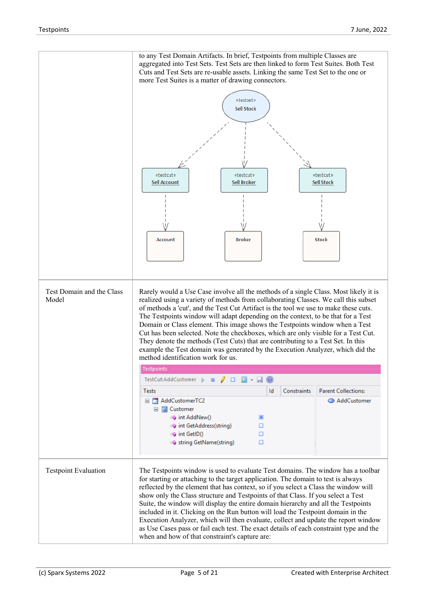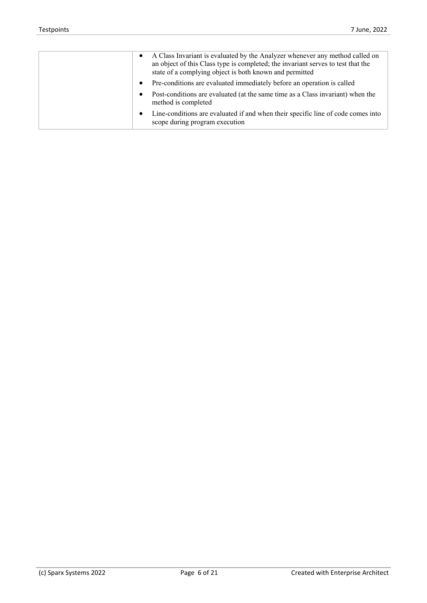| A Class Invariant is evaluated by the Analyzer whenever any method called on<br>$\bullet$<br>an object of this Class type is completed; the invariant serves to test that the<br>state of a complying object is both known and permitted |
|------------------------------------------------------------------------------------------------------------------------------------------------------------------------------------------------------------------------------------------|
| Pre-conditions are evaluated immediately before an operation is called<br>$\bullet$                                                                                                                                                      |
| Post-conditions are evaluated (at the same time as a Class invariant) when the<br>$\bullet$<br>method is completed                                                                                                                       |
| Line-conditions are evaluated if and when their specific line of code comes into<br>$\bullet$<br>scope during program execution                                                                                                          |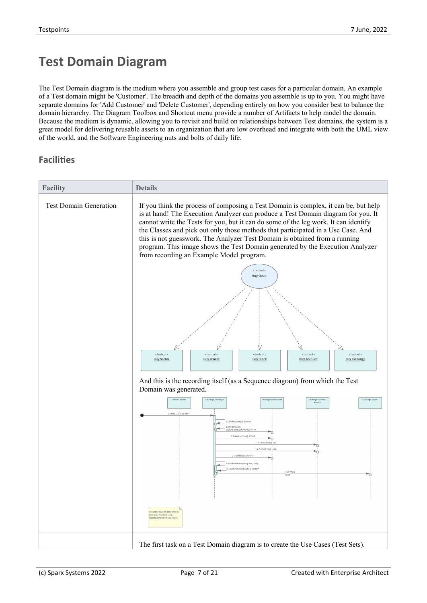# **Test Domain Diagram**

The Test Domain diagram is the medium where you assemble and group testcases for a particular domain. An example of a Test domain might be 'Customer'. The breadth and depth of the domains you assemble is up to you. You might have separate domains for 'Add Customer' and 'Delete Customer', depending entirely on how you consider best to balance the domain hierarchy. The Diagram Toolbox and Shortcut menu provide a number of Artifacts to help model the domain. Because the medium is dynamic, allowing you to revisit and build on relationships between Test domains, the system is a great model for delivering reusable assets to an organization that are low overhead and integrate with both the UML view of the world, and the Software Engineering nuts and bolts of daily life.

#### **Facilities**

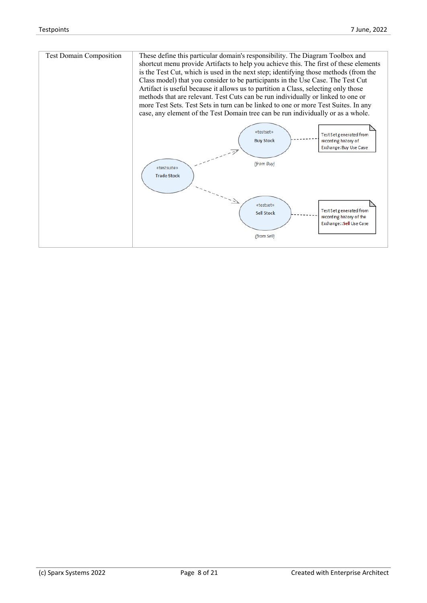| <b>Test Domain Composition</b> | These define this particular domain's responsibility. The Diagram Toolbox and<br>shortcut menu provide Artifacts to help you achieve this. The first of these elements<br>is the Test Cut, which is used in the next step; identifying those methods (from the<br>Class model) that you consider to be participants in the Use Case. The Test Cut<br>Artifact is useful because it allows us to partition a Class, selecting only those<br>methods that are relevant. Test Cuts can be run individually or linked to one or<br>more Test Sets. Test Sets in turn can be linked to one or more Test Suites. In any<br>case, any element of the Test Domain tree can be run individually or as a whole. |  |
|--------------------------------|-------------------------------------------------------------------------------------------------------------------------------------------------------------------------------------------------------------------------------------------------------------------------------------------------------------------------------------------------------------------------------------------------------------------------------------------------------------------------------------------------------------------------------------------------------------------------------------------------------------------------------------------------------------------------------------------------------|--|
|                                | «testset»<br>Test Set generated from<br><b>Buy Stock</b><br>recording history of<br>Exchange: Buy Use Case<br>(from Buy)<br>«testsuite»<br><b>Trade Stock</b><br>«testset»<br>Test Set generated from<br><b>Sell Stock</b><br>recording history of the<br>Exchange::Sell Use Case<br>(from Sell)                                                                                                                                                                                                                                                                                                                                                                                                      |  |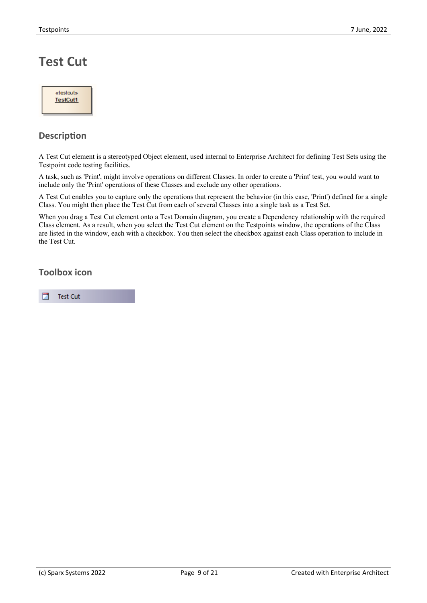# **Test Cut**

| «testcut»       |  |
|-----------------|--|
| <b>TestCut1</b> |  |
|                 |  |

#### **Description**

A Test Cut element is a stereotyped Object element, used internal to Enterprise Architect for defining Test Sets using the Testpoint code testing facilities.

A task, suchas 'Print', might involve operations on different Classes. In order to create a 'Print' test, you would want to include only the 'Print' operations of these Classes and exclude any other operations.

A Test Cut enables you to capture only the operations that represent the behavior (in this case, 'Print') defined for a single Class. You might then place the Test Cut from each of severalClasses into a single task as a Test Set.

When you drag a Test Cut element onto a Test Domain diagram, you create a Dependency relationship with the required Class element. As a result, when you select the Test Cut element on the Testpoints window, the operations of the Class are listed in the window, each with a checkbox. You then select the checkbox against each Class operation to include in the Test Cut.

#### **Toolbox icon**

囗 **Test Cut**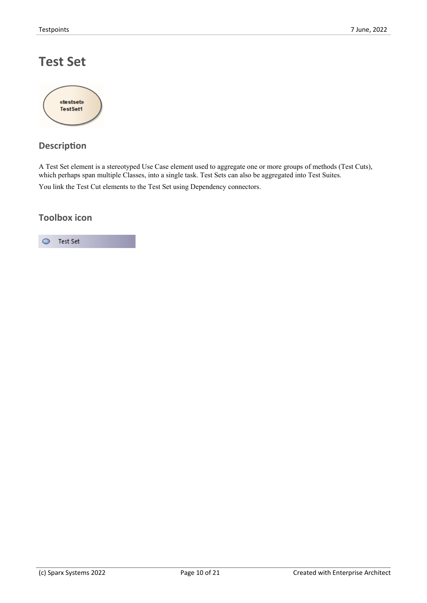# **Test Set**



### **Description**

A Test Set element is a stereotyped Use Case element used to aggregate one or more groups of methods (Test Cuts), which perhaps span multiple Classes, into a single task. Test Sets can also be aggregated into Test Suites.

You link the Test Cut elements to the Test Set using Dependency connectors.

#### **Toolbox icon**

#### $\bullet$ Test Set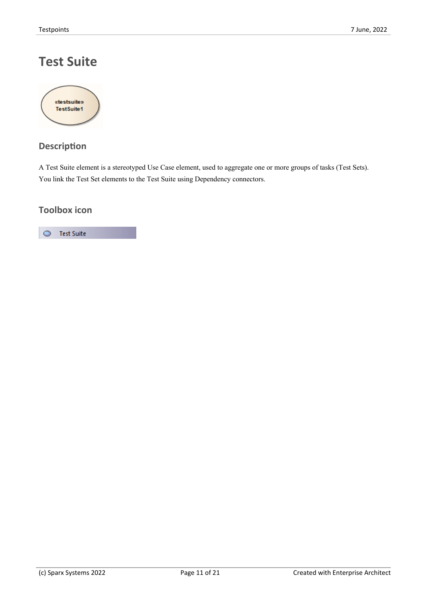# **Test Suite**



### **Description**

A Test Suite element is a stereotyped Use Case element, used to aggregate one or more groups of tasks (Test Sets). You link the Test Set elements to the Test Suite using Dependency connectors.

#### **Toolbox icon**

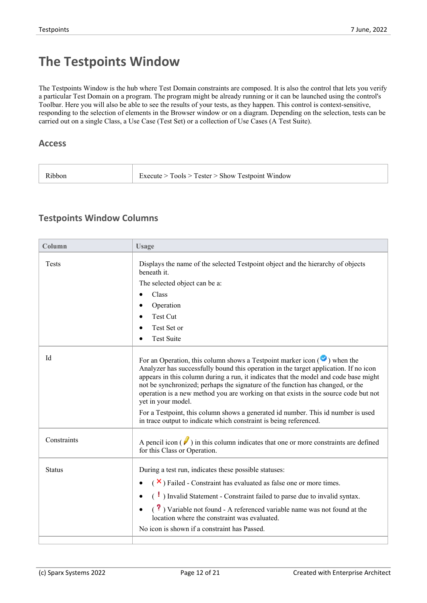# **The Testpoints Window**

The Testpoints Window is the hub where Test Domain constraints are composed. It is also the control that lets you verify a particular Test Domain on a program. The program might be already running or it can be launched using the control's Toolbar. Here you will also be able to see the results of your tests, as they happen. This control is context-sensitive, responding to the selection of elements in the Browser window or on a diagram. Depending on the selection, tests can be carried out on a single Class, a Use Case (Test Set) or a collection of Use Cases (A Test Suite).

#### **Access**

| Ribbon | Execute > Tools > Tester > Show Testpoint Window |
|--------|--------------------------------------------------|
|--------|--------------------------------------------------|

#### **Testpoints Window Columns**

| Column        | <b>Usage</b>                                                                                                                                                                                                                                                                                                                                                                                                                                                    |
|---------------|-----------------------------------------------------------------------------------------------------------------------------------------------------------------------------------------------------------------------------------------------------------------------------------------------------------------------------------------------------------------------------------------------------------------------------------------------------------------|
| <b>Tests</b>  | Displays the name of the selected Testpoint object and the hierarchy of objects<br>beneath it.                                                                                                                                                                                                                                                                                                                                                                  |
|               | The selected object can be a:                                                                                                                                                                                                                                                                                                                                                                                                                                   |
|               | Class                                                                                                                                                                                                                                                                                                                                                                                                                                                           |
|               | Operation                                                                                                                                                                                                                                                                                                                                                                                                                                                       |
|               | Test Cut                                                                                                                                                                                                                                                                                                                                                                                                                                                        |
|               | Test Set or                                                                                                                                                                                                                                                                                                                                                                                                                                                     |
|               | <b>Test Suite</b>                                                                                                                                                                                                                                                                                                                                                                                                                                               |
| Id            | For an Operation, this column shows a Testpoint marker icon $(\bullet)$ when the<br>Analyzer has successfully bound this operation in the target application. If no icon<br>appears in this column during a run, it indicates that the model and code base might<br>not be synchronized; perhaps the signature of the function has changed, or the<br>operation is a new method you are working on that exists in the source code but not<br>yet in your model. |
|               | For a Testpoint, this column shows a generated id number. This id number is used<br>in trace output to indicate which constraint is being referenced.                                                                                                                                                                                                                                                                                                           |
| Constraints   | A pencil icon $(V)$ in this column indicates that one or more constraints are defined<br>for this Class or Operation.                                                                                                                                                                                                                                                                                                                                           |
| <b>Status</b> | During a test run, indicates these possible statuses:                                                                                                                                                                                                                                                                                                                                                                                                           |
|               | $(\times)$ Failed - Constraint has evaluated as false one or more times.                                                                                                                                                                                                                                                                                                                                                                                        |
|               | $\left(\begin{array}{c} \bullet \\ \bullet \end{array}\right)$ Invalid Statement - Constraint failed to parse due to invalid syntax.                                                                                                                                                                                                                                                                                                                            |
|               | $\left( \begin{array}{c} \textbf{?} \\ \textbf{?} \end{array} \right)$ Variable not found - A referenced variable name was not found at the<br>location where the constraint was evaluated.                                                                                                                                                                                                                                                                     |
|               | No icon is shown if a constraint has Passed.                                                                                                                                                                                                                                                                                                                                                                                                                    |
|               |                                                                                                                                                                                                                                                                                                                                                                                                                                                                 |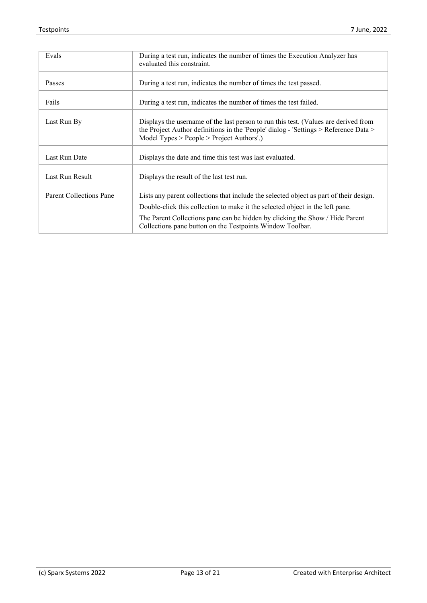| Evals                   | During a test run, indicates the number of times the Execution Analyzer has<br>evaluated this constraint.                                                                                                                                                                                                            |
|-------------------------|----------------------------------------------------------------------------------------------------------------------------------------------------------------------------------------------------------------------------------------------------------------------------------------------------------------------|
| Passes                  | During a test run, indicates the number of times the test passed.                                                                                                                                                                                                                                                    |
| Fails                   | During a test run, indicates the number of times the test failed.                                                                                                                                                                                                                                                    |
| Last Run By             | Displays the username of the last person to run this test. (Values are derived from<br>the Project Author definitions in the 'People' dialog - 'Settings > Reference Data ><br>Model Types $>$ People $>$ Project Authors'.)                                                                                         |
| Last Run Date           | Displays the date and time this test was last evaluated.                                                                                                                                                                                                                                                             |
| Last Run Result         | Displays the result of the last test run.                                                                                                                                                                                                                                                                            |
| Parent Collections Pane | Lists any parent collections that include the selected object as part of their design.<br>Double-click this collection to make it the selected object in the left pane.<br>The Parent Collections pane can be hidden by clicking the Show / Hide Parent<br>Collections pane button on the Testpoints Window Toolbar. |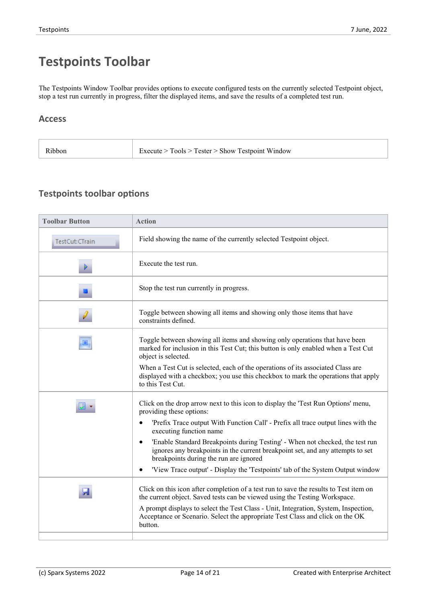# **Testpoints Toolbar**

The Testpoints Window Toolbar provides options to execute configured tests on the currently selected Testpoint object, stop a test run currently in progress, filter the displayed items, and save the results of a completed test run.

#### **Access**

| Execute > Tools > Tester > Show Testpoint Window<br>Ribbon |  |
|------------------------------------------------------------|--|
|------------------------------------------------------------|--|

#### **Testpoints toolbar options**

| <b>Toolbar Button</b> | <b>Action</b>                                                                                                                                                                                                          |
|-----------------------|------------------------------------------------------------------------------------------------------------------------------------------------------------------------------------------------------------------------|
| TestCut:CTrain        | Field showing the name of the currently selected Testpoint object.                                                                                                                                                     |
|                       | Execute the test run.                                                                                                                                                                                                  |
|                       | Stop the test run currently in progress.                                                                                                                                                                               |
|                       | Toggle between showing all items and showing only those items that have<br>constraints defined.                                                                                                                        |
| D,                    | Toggle between showing all items and showing only operations that have been<br>marked for inclusion in this Test Cut; this button is only enabled when a Test Cut<br>object is selected.                               |
|                       | When a Test Cut is selected, each of the operations of its associated Class are<br>displayed with a checkbox; you use this checkbox to mark the operations that apply<br>to this Test Cut.                             |
|                       | Click on the drop arrow next to this icon to display the 'Test Run Options' menu,<br>providing these options:                                                                                                          |
|                       | 'Prefix Trace output With Function Call' - Prefix all trace output lines with the<br>$\bullet$<br>executing function name                                                                                              |
|                       | 'Enable Standard Breakpoints during Testing' - When not checked, the test run<br>$\bullet$<br>ignores any breakpoints in the current breakpoint set, and any attempts to set<br>breakpoints during the run are ignored |
|                       | 'View Trace output' - Display the 'Testpoints' tab of the System Output window<br>$\bullet$                                                                                                                            |
| Ы                     | Click on this icon after completion of a test run to save the results to Test item on<br>the current object. Saved tests can be viewed using the Testing Workspace.                                                    |
|                       | A prompt displays to select the Test Class - Unit, Integration, System, Inspection,<br>Acceptance or Scenario. Select the appropriate Test Class and click on the OK<br>button.                                        |
|                       |                                                                                                                                                                                                                        |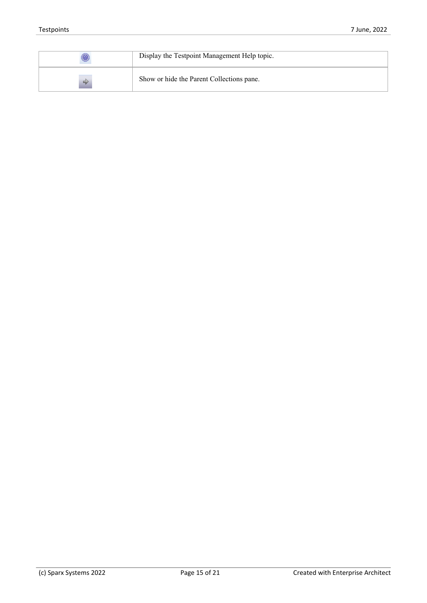|   | Display the Testpoint Management Help topic. |
|---|----------------------------------------------|
| ⇛ | Show or hide the Parent Collections pane.    |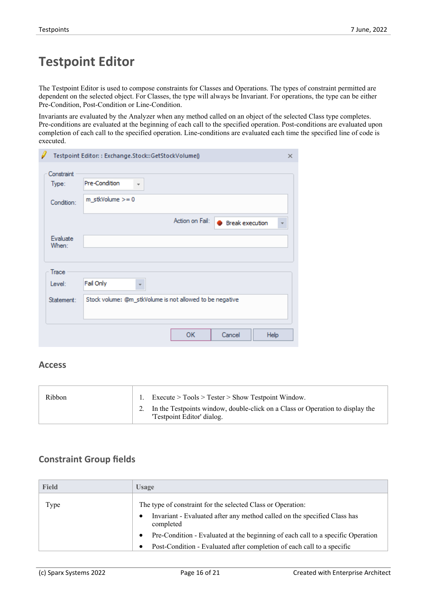# **Testpoint Editor**

The Testpoint Editor is used to compose constraints for Classes and Operations. The types ofconstraint permitted are dependent on the selected object. For Classes, the type will always be Invariant. For operations, the type can be either Pre-Condition, Post-Condition or Line-Condition.

Invariants are evaluated by the Analyzer when any method called on an object of the selected Class type completes. Pre-conditions are evaluated at the beginning of each call to the specified operation. Post-conditions are evaluated upon completion of each call to the specified operation. Line-conditions are evaluated each time the specified line of code is executed.

|                     | Testpoint Editor:: Exchange.Stock::GetStockVolume()      | × |
|---------------------|----------------------------------------------------------|---|
| Constraint<br>Type: | Pre-Condition<br>÷<br>$m_{\text{S}}$ tkVolume >= 0       |   |
| Condition:          | Action on Fail:<br><b>Break execution</b>                | ▼ |
| Evaluate<br>When:   |                                                          |   |
| Trace               |                                                          |   |
| Level:              | Fail Only<br>÷                                           |   |
| Statement:          | Stock volume: @m_stkVolume is not allowed to be negative |   |
|                     | <b>OK</b><br>Cancel<br>Help                              |   |

#### **Access**

| Ribbon | $\text{Execute} > \text{Tools} > \text{Tester} > \text{Show Testpoint Window}.$                             |  |
|--------|-------------------------------------------------------------------------------------------------------------|--|
|        | In the Testpoints window, double-click on a Class or Operation to display the<br>'Testpoint Editor' dialog. |  |

#### **Constraint Group fields**

| <b>Field</b> | <b>Usage</b>                                                                                                                            |
|--------------|-----------------------------------------------------------------------------------------------------------------------------------------|
| Type         | The type of constraint for the selected Class or Operation:<br>Invariant - Evaluated after any method called on the specified Class has |
|              | completed                                                                                                                               |
|              | Pre-Condition - Evaluated at the beginning of each call to a specific Operation                                                         |
|              | Post-Condition - Evaluated after completion of each call to a specific                                                                  |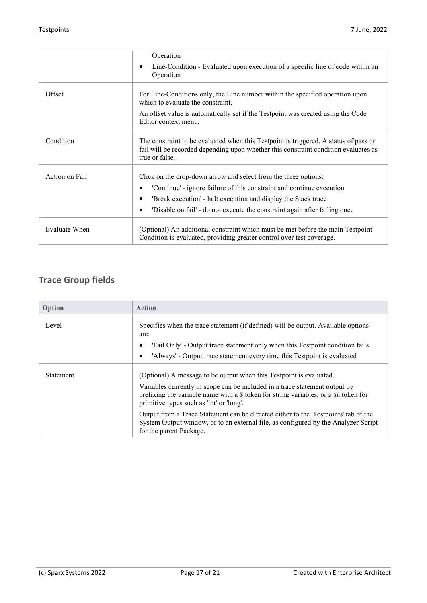|                | Operation                                                                                                                                                                                                                                                                                |
|----------------|------------------------------------------------------------------------------------------------------------------------------------------------------------------------------------------------------------------------------------------------------------------------------------------|
|                | Line-Condition - Evaluated upon execution of a specific line of code within an<br>Operation                                                                                                                                                                                              |
| Offset         | For Line-Conditions only, the Line number within the specified operation upon<br>which to evaluate the constraint.                                                                                                                                                                       |
|                | An offset value is automatically set if the Testpoint was created using the Code<br>Editor context menu.                                                                                                                                                                                 |
| Condition      | The constraint to be evaluated when this Testpoint is triggered. A status of pass or<br>fail will be recorded depending upon whether this constraint condition evaluates as<br>true or false.                                                                                            |
| Action on Fail | Click on the drop-down arrow and select from the three options:<br>'Continue' - ignore failure of this constraint and continue execution<br>'Break execution' - halt execution and display the Stack trace<br>'Disable on fail' - do not execute the constraint again after failing once |
| Evaluate When  | (Optional) An additional constraint which must be met before the main Testpoint<br>Condition is evaluated, providing greater control over test coverage.                                                                                                                                 |

### **Trace Group fields**

| Option           | <b>Action</b>                                                                                                                                                                                                        |
|------------------|----------------------------------------------------------------------------------------------------------------------------------------------------------------------------------------------------------------------|
| Level            | Specifies when the trace statement (if defined) will be output. Available options<br>are:                                                                                                                            |
|                  | 'Fail Only' - Output trace statement only when this Testpoint condition fails                                                                                                                                        |
|                  | 'Always' - Output trace statement every time this Testpoint is evaluated                                                                                                                                             |
| <b>Statement</b> | (Optional) A message to be output when this Testpoint is evaluated.                                                                                                                                                  |
|                  | Variables currently in scope can be included in a trace statement output by<br>prefixing the variable name with a \$ token for string variables, or a $\omega$ token for<br>primitive types such as 'int' or 'long'. |
|                  | Output from a Trace Statement can be directed either to the 'Testpoints' tab of the<br>System Output window, or to an external file, as configured by the Analyzer Script<br>for the parent Package.                 |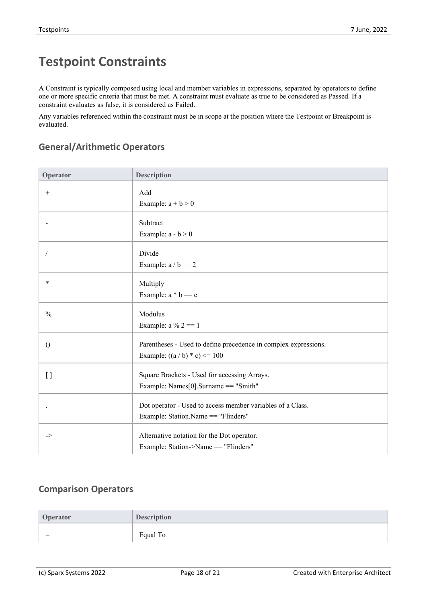# **Testpoint Constraints**

A Constraint is typically composed using local and member variables in expressions, separated by operators to define one or more specific criteria that must be met. A constraint must evaluate as true to be considered as Passed. If a constraint evaluates as false, it is considered as Failed.

Any variables referenced within the constraint must be in scope at the position where the Testpoint or Breakpoint is evaluated.

### **General/Arithmetic Operators**

| Operator      | <b>Description</b>                                              |
|---------------|-----------------------------------------------------------------|
| $^{+}$        | Add                                                             |
|               | Example: $a + b > 0$                                            |
|               | Subtract                                                        |
|               | Example: $a - b > 0$                                            |
|               | Divide                                                          |
|               | Example: $a / b == 2$                                           |
| $\ast$        | Multiply                                                        |
|               | Example: $a * b == c$                                           |
| $\frac{0}{0}$ | Modulus                                                         |
|               | Example: $a\% 2 == 1$                                           |
| $\theta$      | Parentheses - Used to define precedence in complex expressions. |
|               | Example: $((a / b) * c) \le 100$                                |
| $[ \ ]$       | Square Brackets - Used for accessing Arrays.                    |
|               | Example: Names $[0]$ . Surname == "Smith"                       |
|               | Dot operator - Used to access member variables of a Class.      |
|               | Example: Station.Name == "Flinders"                             |
| $\Rightarrow$ | Alternative notation for the Dot operator.                      |
|               | Example: Station->Name == "Flinders"                            |

#### **Comparison Operators**

| Operator | <b>Description</b> |
|----------|--------------------|
| $=$      | Equal To           |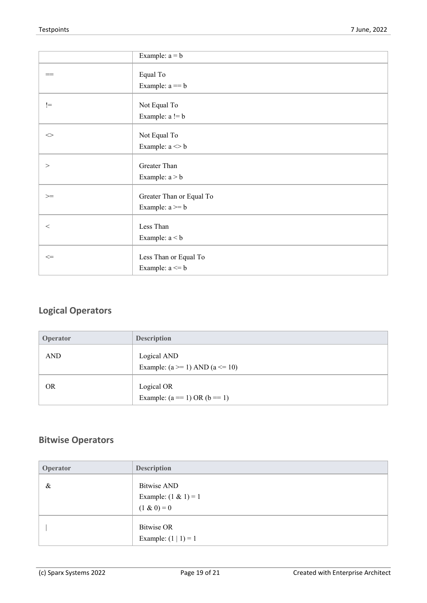|                          | Example: $a = b$                                          |
|--------------------------|-----------------------------------------------------------|
| $=$                      | Equal To<br>Example: $a == b$                             |
| $!=$                     | Not Equal To<br>Example: $a != b$                         |
| $\mathrel{<\!\!\!\cdot}$ | Not Equal To<br>Example: $\mathbf{a} \diamond \mathbf{b}$ |
| $\geq$                   | Greater Than<br>Example: $a > b$                          |
| $>=$                     | Greater Than or Equal To<br>Example: $a \ge b$            |
| $\,<$                    | Less Than<br>Example: $a < b$                             |
| $\Leftarrow$             | Less Than or Equal To<br>Example: $a \leq b$              |

### **Logical Operators**

| Operator   | <b>Description</b>                                   |
|------------|------------------------------------------------------|
| <b>AND</b> | Logical AND<br>Example: $(a \ge 1)$ AND $(a \le 10)$ |
| <b>OR</b>  | Logical OR<br>Example: $(a == 1)$ OR $(b == 1)$      |

### **Bitwise Operators**

| Operator | <b>Description</b>                                      |
|----------|---------------------------------------------------------|
| &        | Bitwise AND<br>Example: $(1 & 1) = 1$<br>$(1 \& 0) = 0$ |
|          | Bitwise OR<br>Example: $(1   1) = 1$                    |